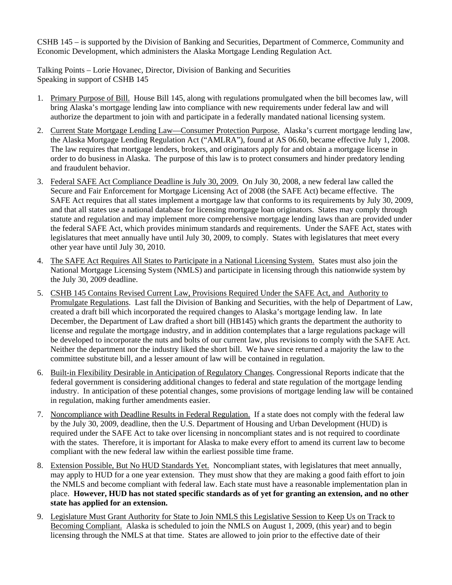CSHB 145 – is supported by the Division of Banking and Securities, Department of Commerce, Community and Economic Development, which administers the Alaska Mortgage Lending Regulation Act.

Talking Points – Lorie Hovanec, Director, Division of Banking and Securities Speaking in support of CSHB 145

- 1. Primary Purpose of Bill. House Bill 145, along with regulations promulgated when the bill becomes law, will bring Alaska's mortgage lending law into compliance with new requirements under federal law and will authorize the department to join with and participate in a federally mandated national licensing system.
- 2. Current State Mortgage Lending Law—Consumer Protection Purpose. Alaska's current mortgage lending law, the Alaska Mortgage Lending Regulation Act ("AMLRA"), found at AS 06.60, became effective July 1, 2008. The law requires that mortgage lenders, brokers, and originators apply for and obtain a mortgage license in order to do business in Alaska. The purpose of this law is to protect consumers and hinder predatory lending and fraudulent behavior.
- 3. Federal SAFE Act Compliance Deadline is July 30, 2009. On July 30, 2008, a new federal law called the Secure and Fair Enforcement for Mortgage Licensing Act of 2008 (the SAFE Act) became effective. The SAFE Act requires that all states implement a mortgage law that conforms to its requirements by July 30, 2009, and that all states use a national database for licensing mortgage loan originators. States may comply through statute and regulation and may implement more comprehensive mortgage lending laws than are provided under the federal SAFE Act, which provides minimum standards and requirements. Under the SAFE Act, states with legislatures that meet annually have until July 30, 2009, to comply. States with legislatures that meet every other year have until July 30, 2010.
- 4. The SAFE Act Requires All States to Participate in a National Licensing System. States must also join the National Mortgage Licensing System (NMLS) and participate in licensing through this nationwide system by the July 30, 2009 deadline.
- 5. CSHB 145 Contains Revised Current Law, Provisions Required Under the SAFE Act, and Authority to Promulgate Regulations. Last fall the Division of Banking and Securities, with the help of Department of Law, created a draft bill which incorporated the required changes to Alaska's mortgage lending law. In late December, the Department of Law drafted a short bill (HB145) which grants the department the authority to license and regulate the mortgage industry, and in addition contemplates that a large regulations package will be developed to incorporate the nuts and bolts of our current law, plus revisions to comply with the SAFE Act. Neither the department nor the industry liked the short bill. We have since returned a majority the law to the committee substitute bill, and a lesser amount of law will be contained in regulation.
- 6. Built-in Flexibility Desirable in Anticipation of Regulatory Changes. Congressional Reports indicate that the federal government is considering additional changes to federal and state regulation of the mortgage lending industry. In anticipation of these potential changes, some provisions of mortgage lending law will be contained in regulation, making further amendments easier.
- 7. Noncompliance with Deadline Results in Federal Regulation. If a state does not comply with the federal law by the July 30, 2009, deadline, then the U.S. Department of Housing and Urban Development (HUD) is required under the SAFE Act to take over licensing in noncompliant states and is not required to coordinate with the states. Therefore, it is important for Alaska to make every effort to amend its current law to become compliant with the new federal law within the earliest possible time frame.
- 8. Extension Possible, But No HUD Standards Yet. Noncompliant states, with legislatures that meet annually, may apply to HUD for a one year extension. They must show that they are making a good faith effort to join the NMLS and become compliant with federal law. Each state must have a reasonable implementation plan in place. **However, HUD has not stated specific standards as of yet for granting an extension, and no other state has applied for an extension.**
- 9. Legislature Must Grant Authority for State to Join NMLS this Legislative Session to Keep Us on Track to Becoming Compliant. Alaska is scheduled to join the NMLS on August 1, 2009, (this year) and to begin licensing through the NMLS at that time. States are allowed to join prior to the effective date of their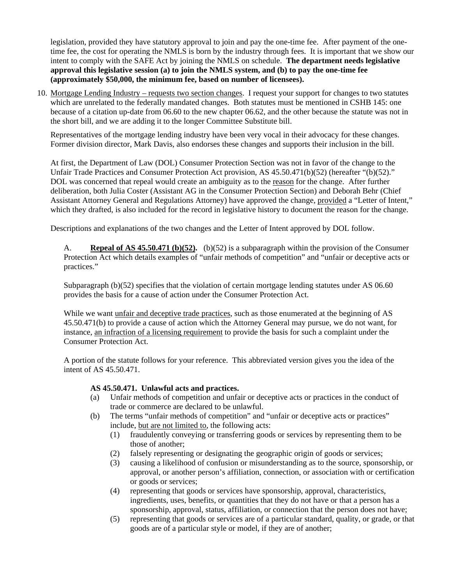legislation, provided they have statutory approval to join and pay the one-time fee. After payment of the onetime fee, the cost for operating the NMLS is born by the industry through fees. It is important that we show our intent to comply with the SAFE Act by joining the NMLS on schedule. **The department needs legislative approval this legislative session (a) to join the NMLS system, and (b) to pay the one-time fee (approximately \$50,000, the minimum fee, based on number of licensees).**

10. Mortgage Lending Industry – requests two section changes. I request your support for changes to two statutes which are unrelated to the federally mandated changes. Both statutes must be mentioned in CSHB 145: one because of a citation up-date from 06.60 to the new chapter 06.62, and the other because the statute was not in the short bill, and we are adding it to the longer Committee Substitute bill.

Representatives of the mortgage lending industry have been very vocal in their advocacy for these changes. Former division director, Mark Davis, also endorses these changes and supports their inclusion in the bill.

At first, the Department of Law (DOL) Consumer Protection Section was not in favor of the change to the Unfair Trade Practices and Consumer Protection Act provision, AS 45.50.471(b)(52) (hereafter "(b)(52)." DOL was concerned that repeal would create an ambiguity as to the reason for the change. After further deliberation, both Julia Coster (Assistant AG in the Consumer Protection Section) and Deborah Behr (Chief Assistant Attorney General and Regulations Attorney) have approved the change, provided a "Letter of Intent," which they drafted, is also included for the record in legislative history to document the reason for the change.

Descriptions and explanations of the two changes and the Letter of Intent approved by DOL follow.

A. **Repeal of AS 45.50.471 (b)(52).** (b)(52) is a subparagraph within the provision of the Consumer Protection Act which details examples of "unfair methods of competition" and "unfair or deceptive acts or practices."

Subparagraph (b)(52) specifies that the violation of certain mortgage lending statutes under AS 06.60 provides the basis for a cause of action under the Consumer Protection Act.

While we want unfair and deceptive trade practices, such as those enumerated at the beginning of AS 45.50.471(b) to provide a cause of action which the Attorney General may pursue, we do not want, for instance, an infraction of a licensing requirement to provide the basis for such a complaint under the Consumer Protection Act.

A portion of the statute follows for your reference. This abbreviated version gives you the idea of the intent of AS 45.50.471.

## **AS 45.50.471. Unlawful acts and practices.**

- (a) Unfair methods of competition and unfair or deceptive acts or practices in the conduct of trade or commerce are declared to be unlawful.
- (b) The terms "unfair methods of competition" and "unfair or deceptive acts or practices" include, but are not limited to, the following acts:
	- (1) fraudulently conveying or transferring goods or services by representing them to be those of another;
	- (2) falsely representing or designating the geographic origin of goods or services;
	- (3) causing a likelihood of confusion or misunderstanding as to the source, sponsorship, or approval, or another person's affiliation, connection, or association with or certification or goods or services;
	- (4) representing that goods or services have sponsorship, approval, characteristics, ingredients, uses, benefits, or quantities that they do not have or that a person has a sponsorship, approval, status, affiliation, or connection that the person does not have;
	- (5) representing that goods or services are of a particular standard, quality, or grade, or that goods are of a particular style or model, if they are of another;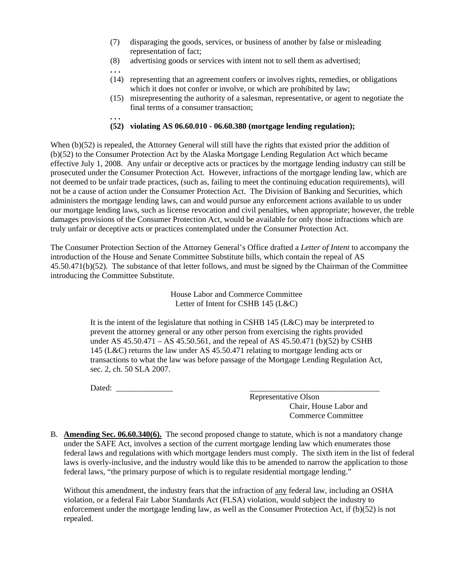- (7) disparaging the goods, services, or business of another by false or misleading representation of fact;
- (8) advertising goods or services with intent not to sell them as advertised;
- (14) representing that an agreement confers or involves rights, remedies, or obligations which it does not confer or involve, or which are prohibited by law;
- (15) misrepresenting the authority of a salesman, representative, or agent to negotiate the final terms of a consumer transaction;

## **(52) violating AS 06.60.010 - 06.60.380 (mortgage lending regulation);**

When (b)(52) is repealed, the Attorney General will still have the rights that existed prior the addition of (b)(52) to the Consumer Protection Act by the Alaska Mortgage Lending Regulation Act which became effective July 1, 2008. Any unfair or deceptive acts or practices by the mortgage lending industry can still be prosecuted under the Consumer Protection Act. However, infractions of the mortgage lending law, which are not deemed to be unfair trade practices, (such as, failing to meet the continuing education requirements), will not be a cause of action under the Consumer Protection Act. The Division of Banking and Securities, which administers the mortgage lending laws, can and would pursue any enforcement actions available to us under our mortgage lending laws, such as license revocation and civil penalties, when appropriate; however, the treble damages provisions of the Consumer Protection Act, would be available for only those infractions which are truly unfair or deceptive acts or practices contemplated under the Consumer Protection Act.

The Consumer Protection Section of the Attorney General's Office drafted a *Letter of Intent* to accompany the introduction of the House and Senate Committee Substitute bills, which contain the repeal of AS 45.50.471(b)(52). The substance of that letter follows, and must be signed by the Chairman of the Committee introducing the Committee Substitute.

> House Labor and Commerce Committee Letter of Intent for CSHB 145 (L&C)

It is the intent of the legislature that nothing in CSHB 145 (L&C) may be interpreted to prevent the attorney general or any other person from exercising the rights provided under AS  $45.50.471 - AS\ 45.50.561$ , and the repeal of AS  $45.50.471$  (b)(52) by CSHB 145 (L&C) returns the law under AS 45.50.471 relating to mortgage lending acts or transactions to what the law was before passage of the Mortgage Lending Regulation Act, sec. 2, ch. 50 SLA 2007.

Dated: \_\_\_\_\_\_\_\_\_\_\_\_\_\_ \_\_\_\_\_\_\_\_\_\_\_\_\_\_\_\_\_\_\_\_\_\_\_\_\_\_\_\_\_\_\_\_

**. . .** 

**. . .** 

 Representative Olson Chair, House Labor and Commerce Committee

B. **Amending Sec. 06.60.340(6).** The second proposed change to statute, which is not a mandatory change under the SAFE Act, involves a section of the current mortgage lending law which enumerates those federal laws and regulations with which mortgage lenders must comply. The sixth item in the list of federal laws is overly-inclusive, and the industry would like this to be amended to narrow the application to those federal laws, "the primary purpose of which is to regulate residential mortgage lending."

Without this amendment, the industry fears that the infraction of <u>any</u> federal law, including an OSHA violation, or a federal Fair Labor Standards Act (FLSA) violation, would subject the industry to enforcement under the mortgage lending law, as well as the Consumer Protection Act, if (b)(52) is not repealed.